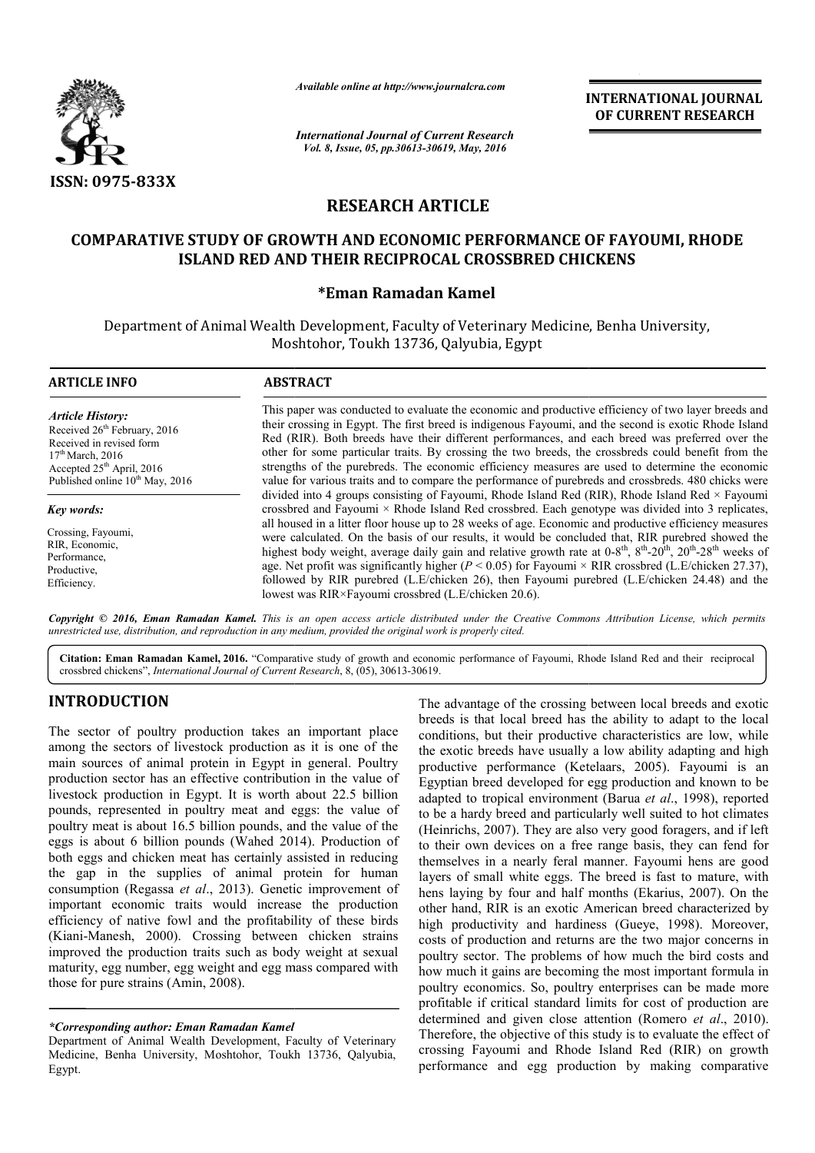

*Available online at http://www.journalcra.com*

*International Journal of Current Research Vol. 8, Issue, 05, pp.30613-30619, May, 2016*

**INTERNATIONAL JOURNAL OF CURRENT RESEARCH** 

# **RESEARCH ARTICLE**

## **COMPARATIVE STUDY OF GROWTH AND ECONOMIC PERFORMANCE OF FAYOUMI FAYOUMI, RHODE ISLAND RED AND THEIR RECIPROCAL CROSSBRED CHICKENS RECIPROCAL**

## **\*Eman Ramadan Kamel**

Department of Animal Wealth Development, Faculty of Veterinary Medicine, Benha University, Moshtohor, Toukh 13736, Qalyubia, Egypt

| <b>ARTICLE INFO</b>                                                                                                                                                                                                                                                                                     | <b>ABSTRACT</b>                                                                                                                                                                                                                                                                                                                                                                                                                                                                                                                                                                                                                                                                                                                                                                                                                                                           |  |  |  |
|---------------------------------------------------------------------------------------------------------------------------------------------------------------------------------------------------------------------------------------------------------------------------------------------------------|---------------------------------------------------------------------------------------------------------------------------------------------------------------------------------------------------------------------------------------------------------------------------------------------------------------------------------------------------------------------------------------------------------------------------------------------------------------------------------------------------------------------------------------------------------------------------------------------------------------------------------------------------------------------------------------------------------------------------------------------------------------------------------------------------------------------------------------------------------------------------|--|--|--|
| <b>Article History:</b><br>Received 26 <sup>th</sup> February, 2016<br>Received in revised form<br>$17th$ March, 2016<br>Accepted $25th$ April, 2016<br>Published online 10 <sup>th</sup> May, 2016<br>Key words:<br>Crossing, Fayoumi,<br>RIR, Economic,<br>Performance.<br>Productive,<br>Efficiency. | This paper was conducted to evaluate the economic and productive efficiency of two layer breeds and<br>their crossing in Egypt. The first breed is indigenous Fayoumi, and the second is exotic Rhode Island<br>Red (RIR). Both breeds have their different performances, and each breed was preferred over the<br>other for some particular traits. By crossing the two breeds, the crossbreds could benefit from the<br>strengths of the purebreds. The economic efficiency measures are used to determine the economic<br>value for various traits and to compare the performance of purebreds and crossbreds. 480 chicks were                                                                                                                                                                                                                                         |  |  |  |
|                                                                                                                                                                                                                                                                                                         | divided into 4 groups consisting of Fayoumi, Rhode Island Red (RIR), Rhode Island Red × Fayoumi<br>crossbred and Fayoumi $\times$ Rhode Island Red crossbred. Each genotype was divided into 3 replicates,<br>all housed in a litter floor house up to 28 weeks of age. Economic and productive efficiency measures<br>were calculated. On the basis of our results, it would be concluded that, RIR purebred showed the<br>highest body weight, average daily gain and relative growth rate at $0.8^{\text{th}}$ , $8^{\text{th}}$ - $20^{\text{th}}$ , $20^{\text{th}}$ - $28^{\text{th}}$ weeks of<br>age. Net profit was significantly higher ( $P < 0.05$ ) for Fayoumi × RIR crossbred (L.E/chicken 27.37),<br>followed by RIR purebred (L.E/chicken 26), then Fayoumi purebred (L.E/chicken 24.48) and the<br>lowest was RIR×Fayoumi crossbred (L.E/chicken 20.6). |  |  |  |

Copyright © 2016, Eman Ramadan Kamel. This is an open access article distributed under the Creative Commons Attribution License, which permits *unrestricted use, distribution, and reproduction in any medium, provided the original work is properly cited.*

Citation: Eman Ramadan Kamel, 2016. "Comparative study of growth and economic performance of Fayoumi, Rhode Island Red and their reciprocal crossbred chickens", *International Journal of Current Research* , 8, (05), 30613-30619.

## **INTRODUCTION**

The sector of poultry production takes an important place among the sectors of livestock production as it is one of the main sources of animal protein in Egypt in general. Poultry production sector has an effective contribution in the value of livestock production in Egypt. It is worth about 22.5 billion pounds, represented in poultry meat and eggs: the value of poultry meat is about 16.5 billion pounds, and the value of the eggs is about 6 billion pounds (Wahed 2014) both eggs and chicken meat has certainly assisted in reducing the gap in the supplies of animal protein for human consumption (Regassa *et al*., 2013). Genetic improvement of important economic traits would increase the production efficiency of native fowl and the profitability of these birds (Kiani-Manesh, 2000). Crossing between chicken strains improved the production traits such as body weight at sexual maturity, egg number, egg weight and egg mass compared with those for pure strains (Amin, 2008). ltry meat and eggs: the value of<br>illion pounds, and the value of the<br>nds (Wahed 2014). Production of

## *\*Corresponding author: Eman Ramadan Kamel*

Department of Animal Wealth Development, Faculty of Veterinary Medicine, Benha University, Moshtohor, Toukh 13736, Qalyubia, Egypt.

The advantage of the crossing between local breeds and exotic<br>so the solutily to data the cloud breeds and exotic breeds and crossing of livestock production as it is one of the conditions, but their productive characteris breeds is that local breed has the ability to adapt to the local conditions, but their productive characteristics are low, while the exotic breeds have usually a low ability adapting and high productive performance (Ketelaars, 2005). Fayoumi is an Egyptian breed developed for egg production and known to be Egyptian breed developed for egg production and known to be adapted to tropical environment (Barua *et al.*, 1998), reported to be a hardy breed and particularly well suited to hot climates (Heinrichs, 2007). They are also very good foragers, and if left to their own devices on a free range basis, they can fend for themselves in a nearly feral manner. Fayoumi hens are good layers of small white eggs. The breed is fast to mature, with hens laying by four and half months (Ekarius, 2007). On the other hand, RIR is an exotic American breed characterized by other hand, RIR is an exotic American breed characterized by high productivity and hardiness (Gueye, 1998). Moreover, costs of production and returns are the two major concerns in poultry sector. The problems of how much the bird costs and how much it gains are becoming the most important formula in poultry economics. So, poultry enterprises can be made mo profitable if critical standard limits for cost of production are determined and given close attention (Romero *et al.*, 2010). Therefore, the objective of this study is to evaluate the effect of crossing Fayoumi and Rhode Island Red (RIR) on growth performance and egg production by making comparative and that a dvantage of the crossing between local breeds and exotic<br>ds is that local breed has the ability to adapt to the local<br>ditions, but their productive characteristics are low, while<br>exotic breeds have usually a low be a hardy breed and particularly well suited to hot climates einrichs, 2007). They are also very good foragers, and if left their own devices on a free range basis, they can fend for mselves in a nearly feral manner. Fayo costs of production and returns are the two major concerns in poultry sector. The problems of how much the bird costs and how much it gains are becoming the most important formula in poultry economics. So, poultry enterpri **INTERNATIONAL JOURNAL FORM SET THE CONSULTERENT (CECURE THE SET AND THE SET AND THE CONSULTERENT (CERRENT RESEARCH AND SAMPLE THE CONSULTER CONSULTER CONSULTER CONSULTER CONSULTER (SET AND THE CONSULTER CONSULTER (SET AN**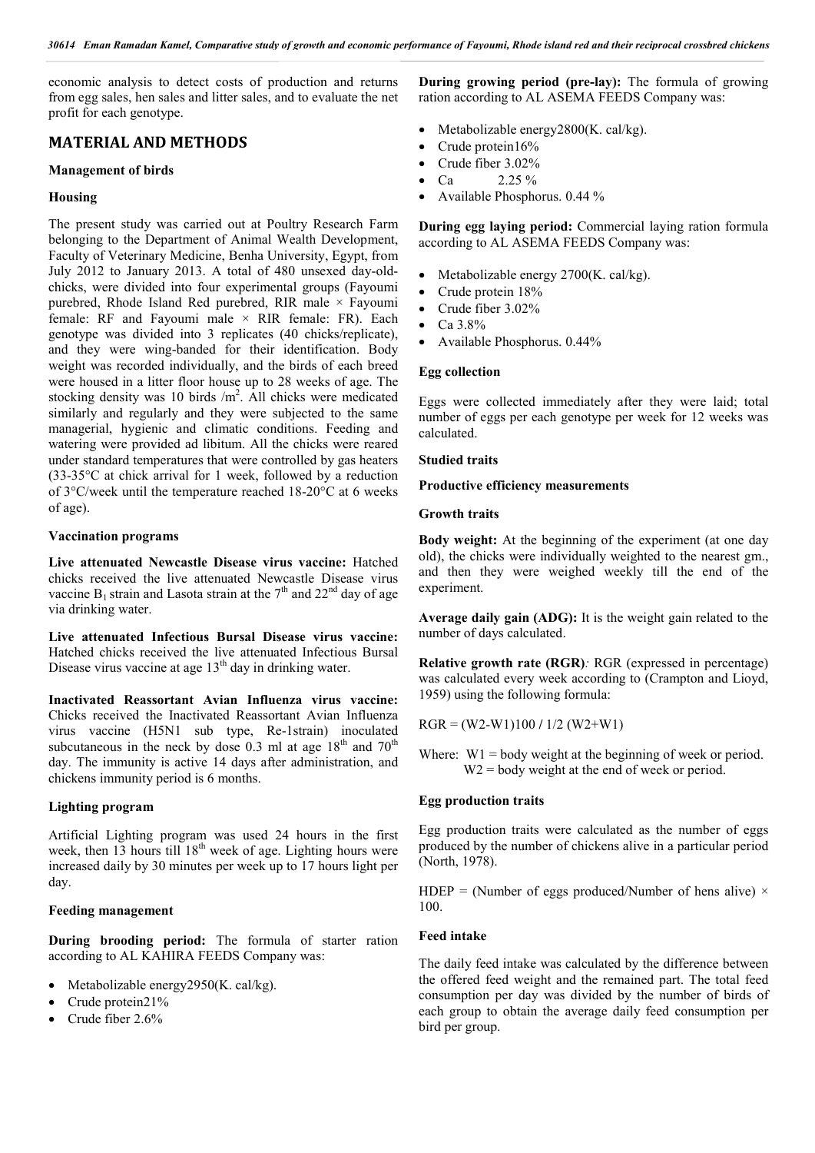economic analysis to detect costs of production and returns from egg sales, hen sales and litter sales, and to evaluate the net profit for each genotype.

## **MATERIAL AND METHODS**

#### **Management of birds**

#### **Housing**

The present study was carried out at Poultry Research Farm belonging to the Department of Animal Wealth Development, Faculty of Veterinary Medicine, Benha University, Egypt, from July 2012 to January 2013. A total of 480 unsexed day-oldchicks, were divided into four experimental groups (Fayoumi purebred, Rhode Island Red purebred, RIR male  $\times$  Fayoumi female: RF and Fayoumi male  $\times$  RIR female: FR). Each genotype was divided into 3 replicates (40 chicks/replicate), and they were wing-banded for their identification. Body weight was recorded individually, and the birds of each breed were housed in a litter floor house up to 28 weeks of age. The stocking density was 10 birds  $/m<sup>2</sup>$ . All chicks were medicated similarly and regularly and they were subjected to the same managerial, hygienic and climatic conditions. Feeding and watering were provided ad libitum. All the chicks were reared under standard temperatures that were controlled by gas heaters (33-35°C at chick arrival for 1 week, followed by a reduction of 3°C/week until the temperature reached 18-20°C at 6 weeks of age).

#### **Vaccination programs**

**Live attenuated Newcastle Disease virus vaccine:** Hatched chicks received the live attenuated Newcastle Disease virus vaccine  $B_1$  strain and Lasota strain at the 7<sup>th</sup> and 22<sup>nd</sup> day of age via drinking water.

**Live attenuated Infectious Bursal Disease virus vaccine:**  Hatched chicks received the live attenuated Infectious Bursal Disease virus vaccine at age  $13<sup>th</sup>$  day in drinking water.

**Inactivated Reassortant Avian Influenza virus vaccine:**  Chicks received the Inactivated Reassortant Avian Influenza virus vaccine (H5N1 sub type, Re-1strain) inoculated subcutaneous in the neck by dose  $0.3$  ml at age  $18<sup>th</sup>$  and  $70<sup>th</sup>$ day. The immunity is active 14 days after administration, and chickens immunity period is 6 months.

#### **Lighting program**

Artificial Lighting program was used 24 hours in the first week, then  $13$  hours till  $18<sup>th</sup>$  week of age. Lighting hours were increased daily by 30 minutes per week up to 17 hours light per day.

### **Feeding management**

**During brooding period:** The formula of starter ration according to AL KAHIRA FEEDS Company was:

- Metabolizable energy2950(K. cal/kg).
- Crude protein21%
- Crude fiber 2.6%

**During growing period (pre-lay):** The formula of growing ration according to AL ASEMA FEEDS Company was:

- Metabolizable energy2800(K. cal/kg).
- $\bullet$  Crude protein 16%
- Crude fiber 3.02%
- $Ca$  2.25 %
- Available Phosphorus. 0.44 %

**During egg laying period:** Commercial laying ration formula according to AL ASEMA FEEDS Company was:

- Metabolizable energy 2700(K. cal/kg).
- Crude protein 18%
- Crude fiber 3.02%
- Ca 3.8%
- Available Phosphorus. 0.44%

#### **Egg collection**

Eggs were collected immediately after they were laid; total number of eggs per each genotype per week for 12 weeks was calculated.

#### **Studied traits**

### **Productive efficiency measurements**

#### **Growth traits**

**Body weight:** At the beginning of the experiment (at one day old), the chicks were individually weighted to the nearest gm., and then they were weighed weekly till the end of the experiment.

**Average daily gain (ADG):** It is the weight gain related to the number of days calculated.

**Relative growth rate (RGR)***:* RGR (expressed in percentage) was calculated every week according to (Crampton and Lioyd, 1959) using the following formula:

RGR = (W2-W1)100 **/** 1/2 (W2+W1)

Where:  $W1 = body weight at the beginning of week or period.$ W<sub>2</sub> = body weight at the end of week or period.

#### **Egg production traits**

Egg production traits were calculated as the number of eggs produced by the number of chickens alive in a particular period (North, 1978).

HDEP = (Number of eggs produced/Number of hens alive)  $\times$ 100.

### **Feed intake**

The daily feed intake was calculated by the difference between the offered feed weight and the remained part. The total feed consumption per day was divided by the number of birds of each group to obtain the average daily feed consumption per bird per group.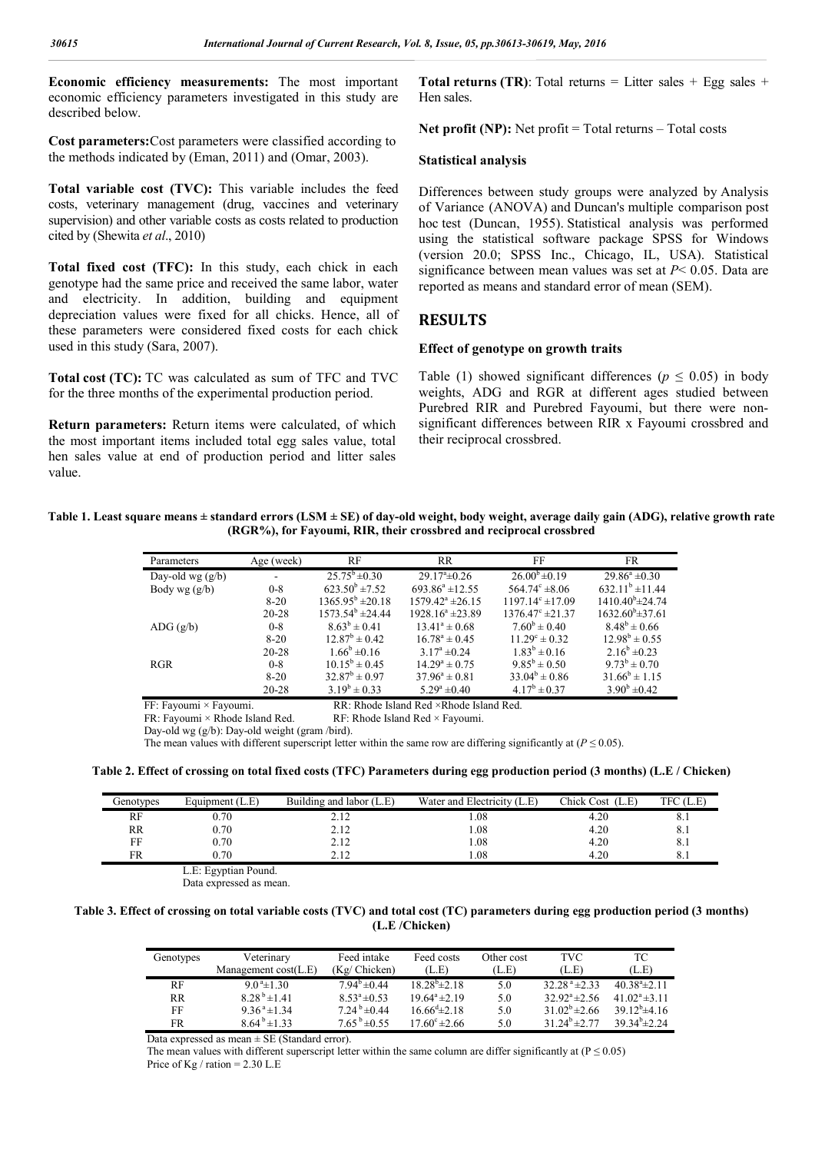**Economic efficiency measurements:** The most important economic efficiency parameters investigated in this study are described below.

**Cost parameters:**Cost parameters were classified according to the methods indicated by (Eman, 2011) and (Omar, 2003).

**Total variable cost (TVC):** This variable includes the feed costs, veterinary management (drug, vaccines and veterinary supervision) and other variable costs as costs related to production cited by (Shewita *et al*., 2010)

**Total fixed cost (TFC):** In this study, each chick in each genotype had the same price and received the same labor, water and electricity. In addition, building and equipment depreciation values were fixed for all chicks. Hence, all of these parameters were considered fixed costs for each chick used in this study (Sara, 2007).

**Total cost (TC):** TC was calculated as sum of TFC and TVC for the three months of the experimental production period.

**Return parameters:** Return items were calculated, of which the most important items included total egg sales value, total hen sales value at end of production period and litter sales value.

**Total returns (TR)**: Total returns = Litter sales + Egg sales + Hen sales.

**Net profit (NP):** Net profit = Total returns – Total costs

#### **Statistical analysis**

Differences between study groups were analyzed by Analysis of Variance (ANOVA) and Duncan's multiple comparison post hoc test (Duncan, 1955). Statistical analysis was performed using the statistical software package SPSS for Windows (version 20.0; SPSS Inc., Chicago, IL, USA). Statistical significance between mean values was set at *P*< 0.05. Data are reported as means and standard error of mean (SEM).

## **RESULTS**

#### **Effect of genotype on growth traits**

Table (1) showed significant differences ( $p \le 0.05$ ) in body weights, ADG and RGR at different ages studied between Purebred RIR and Purebred Fayoumi, but there were nonsignificant differences between RIR x Fayoumi crossbred and their reciprocal crossbred.

**Table 1. Least square means ± standard errors (LSM ± SE) of day-old weight, body weight, average daily gain (ADG), relative growth rate (RGR%), for Fayoumi, RIR, their crossbred and reciprocal crossbred**

| Parameters                      | Age (week)               | RF                            | <b>RR</b>                | FF                              | FR.                       |
|---------------------------------|--------------------------|-------------------------------|--------------------------|---------------------------------|---------------------------|
| Day-old wg $(g/b)$              | $\overline{\phantom{0}}$ | $25.75^b \pm 0.30$            | $29.17^{\circ}$ ± 0.26   | $26.00^b \pm 0.19$              | $29.86^a \pm 0.30$        |
| Body wg $(g/b)$                 | $0 - 8$                  | $623.50^{\rm b}$ ± 7.52       | $693.86^a \pm 12.55$     | $564.74^{\circ} \pm 8.06$       | $632.11^b \pm 11.44$      |
|                                 | $8 - 20$                 | $1365.95^{\mathrm{b}}$ ±20.18 | $1579.42^{\circ}$ ±26.15 | $1197.14^{\circ}$ ± 17.09       | $1410.40^{\circ}$ ± 24.74 |
|                                 | $20 - 28$                | $1573.54^{\circ}$ ±24.44      | $1928.16^a \pm 23.89$    | $1376.47^{\circ}$ ± 21.37       | $1632.60^{\circ}$ ± 37.61 |
| $\text{ADG}(\text{g}/\text{b})$ | $0 - 8$                  | $8.63^b \pm 0.41$             | $13.41^a \pm 0.68$       | $7.60^{\rm b} \pm 0.40^{\rm c}$ | $8.48^b \pm 0.66$         |
|                                 | $8 - 20$                 | $12.87^{\rm b} \pm 0.42$      | $16.78^{\circ} \pm 0.45$ | $11.29^{\circ} \pm 0.32$        | $12.98^b \pm 0.55$        |
|                                 | $20 - 28$                | $1.66^{\rm b}$ ±0.16          | $3.17^{\circ} \pm 0.24$  | $1.83^b \pm 0.16$               | $2.16^b \pm 0.23$         |
| <b>RGR</b>                      | $0 - 8$                  | $10.15^b \pm 0.45$            | $14.29^a \pm 0.75$       | $9.85^b \pm 0.50$               | $9.73^{b} \pm 0.70$       |
|                                 | $8 - 20$                 | $32.87^b \pm 0.97$            | $37.96^a \pm 0.81$       | $33.04^b \pm 0.86$              | $31.66^b \pm 1.15$        |
|                                 | $20 - 28$                | $3.19^b \pm 0.33$             | $5.29^{\circ} \pm 0.40$  | $4.17^b \pm 0.37$               | $3.90^{\rm b}$ ±0.42      |

FF: Fayoumi × Fayoumi. RR: Rhode Island Red × Rhode Island Red.<br>FR: Fayoumi × Rhode Island Red. RF: Rhode Island Red × Fayoumi.

RF: Rhode Island Red  $\times$  Fayoumi.

Day-old wg (g/b): Day-old weight (gram /bird).

The mean values with different superscript letter within the same row are differing significantly at ( $P \le 0.05$ ).

**Table 2. Effect of crossing on total fixed costs (TFC) Parameters during egg production period (3 months) (L.E / Chicken)**

| Genotypes | Equipment (L.E) | Building and labor (L.E) | Water and Electricity (L.E) | Chick Cost (L.E) | TFC (L.E) |
|-----------|-----------------|--------------------------|-----------------------------|------------------|-----------|
| RF        | 0.70            | 2.12                     | .08                         | 4.20             | 8.1       |
| RR        | 0.70            | 2.12                     | .08                         | 4.20             | 8.1       |
| FF        | 0.70            | 2.12                     | .08                         | 4.20             | 8.1       |
| FR        | 0.70            | 212                      | .08                         | 4.20             | 8.1       |

 L.E: Egyptian Pound. Data expressed as mean.

 $\mathbf{r}$ 

### **Table 3. Effect of crossing on total variable costs (TVC) and total cost (TC) parameters during egg production period (3 months) (L.E /Chicken)**

| Genotypes | Veterinary                 | Feed intake                  | Feed costs                  | Other cost | TVC.                          | ТC                            |
|-----------|----------------------------|------------------------------|-----------------------------|------------|-------------------------------|-------------------------------|
|           | Management $cost(L,E)$     | (Kg/ Chicken)                | (L.E)                       | (L.E)      | (L.E)                         | (L.E)                         |
| RF        | $9.0^{\text{a}} \pm 1.30$  | $7.94^b \pm 0.44$            | $18.28^{b} \pm 2.18$        | 5.0        | $32.28^{\text{a}}$ $\pm 2.33$ | $40.38^{\circ}$ + 2.11        |
| <b>RR</b> | $8.28^{b} \pm 1.41$        | $8.53^{\circ} \pm 0.53$      | $19.64^a \pm 2.19$          | 5.0        | $32.92^{\circ}$ ± 2.56        | 41 $02^a \pm 3$ 11            |
| FF        | $9.36^{\text{a}} \pm 1.34$ | $7.24^b \pm 0.44$            | $16.66^{\text{d}} \pm 2.18$ | 5.0        | $31.02^b \pm 2.66$            | $39.12^b \pm 4.16$            |
| FR        | $8.64^{b} \pm 1.33$        | $7.65^{\mathrm{b}} \pm 0.55$ | $17.60^{\circ}$ ± 2.66      | 5.0        | $31.24^b \pm 2.77$            | 39 34 <sup>b</sup> $\pm$ 2 24 |

Data expressed as mean  $\pm$  SE (Standard error).

The mean values with different superscript letter within the same column are differ significantly at ( $P \le 0.05$ ) Price of Kg / ration  $= 2.30$  L.E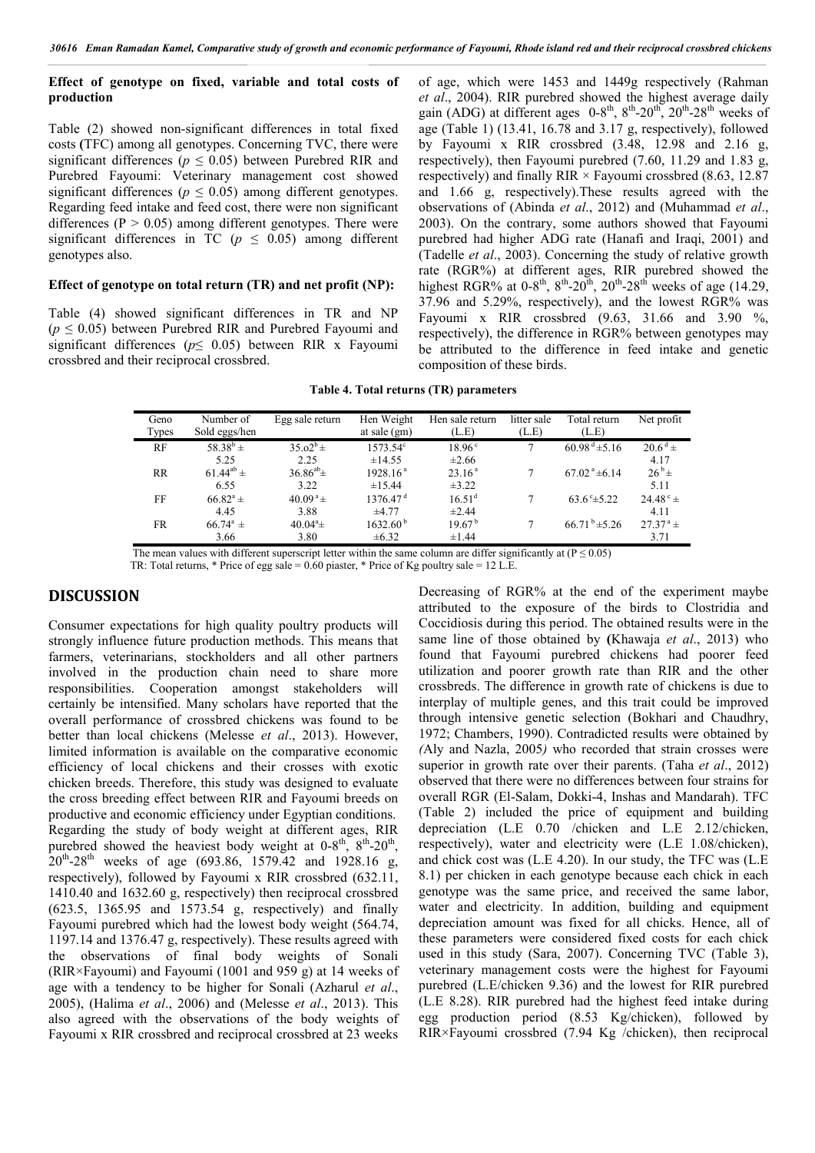## **Effect of genotype on fixed, variable and total costs of production**

Table (2) showed non-significant differences in total fixed costs **(**TFC) among all genotypes. Concerning TVC, there were significant differences ( $p \leq 0.05$ ) between Purebred RIR and Purebred Fayoumi: Veterinary management cost showed significant differences ( $p \le 0.05$ ) among different genotypes. Regarding feed intake and feed cost, there were non significant differences ( $P > 0.05$ ) among different genotypes. There were significant differences in  $TC$  ( $p \le 0.05$ ) among different genotypes also.

### **Effect of genotype on total return (TR) and net profit (NP):**

Table (4) showed significant differences in TR and NP  $(p \le 0.05)$  between Purebred RIR and Purebred Fayoumi and significant differences (*p*≤ 0.05) between RIR x Fayoumi crossbred and their reciprocal crossbred.

of age, which were 1453 and 1449g respectively (Rahman *et al*., 2004). RIR purebred showed the highest average daily gain (ADG) at different ages  $0-8^{th}$ ,  $8^{th}$ -20<sup>th</sup>,  $20^{th}$ -28<sup>th</sup> weeks of age (Table 1) (13.41, 16.78 and 3.17 g, respectively), followed by Fayoumi x RIR crossbred (3.48, 12.98 and 2.16 g, respectively), then Fayoumi purebred (7.60, 11.29 and 1.83 g, respectively) and finally RIR  $\times$  Fayoumi crossbred (8.63, 12.87 and 1.66 g, respectively).These results agreed with the observations of (Abinda *et al*., 2012) and (Muhammad *et al*., 2003). On the contrary, some authors showed that Fayoumi purebred had higher ADG rate (Hanafi and Iraqi, 2001) and (Tadelle *et al*., 2003). Concerning the study of relative growth rate (RGR%) at different ages, RIR purebred showed the highest RGR% at  $0.8<sup>th</sup>$ ,  $8<sup>th</sup>$ - $20<sup>th</sup>$ ,  $20<sup>th</sup>$ - $28<sup>th</sup>$  weeks of age (14.29, 37.96 and 5.29%, respectively), and the lowest RGR% was Fayoumi x RIR crossbred (9.63, 31.66 and 3.90 %, respectively), the difference in RGR% between genotypes may be attributed to the difference in feed intake and genetic composition of these birds.

| Table 4. Total returns (TR) parameters |  |  |  |
|----------------------------------------|--|--|--|
|----------------------------------------|--|--|--|

| Geno<br>Types | Number of<br>Sold eggs/hen | Egg sale return      | Hen Weight<br>at sale $(gm)$ | Hen sale return<br>(L.E) | litter sale<br>(L.E) | Total return<br>(L.E)        | Net profit            |
|---------------|----------------------------|----------------------|------------------------------|--------------------------|----------------------|------------------------------|-----------------------|
| RF            | $58.38^{b} \pm$            | $35.02^b \pm$        | $1573.54^{\circ}$            | $18.96^{\circ}$          |                      | $60.98^{\text{ d}} \pm 5.16$ | $20.6^{\mathrm{d}}$ ± |
|               | 5.25                       | 2.25                 | ±14.55                       | $\pm 2.66$               |                      |                              | 4.17                  |
| <b>RR</b>     | $61.44^{ab} \pm$           | $36.86^{ab}$ ±       | 1928.16 <sup>a</sup>         | 23.16 <sup>a</sup>       |                      | $67.02^{\text{a}}\pm6.14$    | $26^b \pm$            |
|               | 6.55                       | 3.22                 | ±15.44                       | $\pm 3.22$               |                      |                              | 5.11                  |
| FF            | $66.82^{\rm a}$ ±          | $40.09^{\text{a}}$ ± | 1376.47 <sup>d</sup>         | 16.51 <sup>d</sup>       |                      | $63.6^{\circ} \pm 5.22$      | $24.48^{\circ}$ ±     |
|               | 4.45                       | 3.88                 | $\pm 4.77$                   | $\pm 2.44$               |                      |                              | 4.11                  |
| <b>FR</b>     | $66.74^{\circ}$ ±          | $40.04^a \pm$        | $1632.60^{\mathrm{b}}$       | 19.67 <sup>b</sup>       |                      | $66.71^{b} \pm 5.26$         | $27.37^{\text{a}}$ ±  |
|               | 3.66                       | 3.80                 | $\pm 6.32$                   | $\pm 1.44$               |                      |                              | 3.71                  |

The mean values with different superscript letter within the same column are differ significantly at ( $P \le 0.05$ )

TR: Total returns, \* Price of egg sale =  $0.60$  piaster, \* Price of Kg poultry sale = 12 L.E.

## **DISCUSSION**

Consumer expectations for high quality poultry products will strongly influence future production methods. This means that farmers, veterinarians, stockholders and all other partners involved in the production chain need to share more responsibilities. Cooperation amongst stakeholders will certainly be intensified. Many scholars have reported that the overall performance of crossbred chickens was found to be better than local chickens (Melesse *et al*., 2013). However, limited information is available on the comparative economic efficiency of local chickens and their crosses with exotic chicken breeds. Therefore, this study was designed to evaluate the cross breeding effect between RIR and Fayoumi breeds on productive and economic efficiency under Egyptian conditions. Regarding the study of body weight at different ages, RIR purebred showed the heaviest body weight at  $0-8^{th}$ ,  $8^{th}$ - $20^{th}$ ,  $20^{th}$ -28<sup>th</sup> weeks of age (693.86, 1579.42 and 1928.16 g, respectively), followed by Fayoumi x RIR crossbred (632.11, 1410.40 and 1632.60 g, respectively) then reciprocal crossbred (623.5, 1365.95 and 1573.54 g, respectively) and finally Fayoumi purebred which had the lowest body weight (564.74, 1197.14 and 1376.47 g, respectively). These results agreed with the observations of final body weights of Sonali (RIR×Fayoumi) and Fayoumi (1001 and 959 g) at 14 weeks of age with a tendency to be higher for Sonali (Azharul *et al*., 2005), (Halima *et al*., 2006) and (Melesse *et al*., 2013). This also agreed with the observations of the body weights of Fayoumi x RIR crossbred and reciprocal crossbred at 23 weeks

Decreasing of RGR% at the end of the experiment maybe attributed to the exposure of the birds to Clostridia and Coccidiosis during this period. The obtained results were in the same line of those obtained by **(**Khawaja *et al*., 2013) who found that Fayoumi purebred chickens had poorer feed utilization and poorer growth rate than RIR and the other crossbreds. The difference in growth rate of chickens is due to interplay of multiple genes, and this trait could be improved through intensive genetic selection (Bokhari and Chaudhry, 1972; Chambers, 1990). Contradicted results were obtained by *(*Aly and Nazla, 2005*)* who recorded that strain crosses were superior in growth rate over their parents. (Taha *et al*., 2012) observed that there were no differences between four strains for overall RGR (El-Salam, Dokki-4, Inshas and Mandarah). TFC (Table 2) included the price of equipment and building depreciation (L.E 0.70 /chicken and L.E 2.12/chicken, respectively), water and electricity were (L.E 1.08/chicken), and chick cost was (L.E 4.20). In our study, the TFC was (L.E 8.1) per chicken in each genotype because each chick in each genotype was the same price, and received the same labor, water and electricity. In addition, building and equipment depreciation amount was fixed for all chicks. Hence, all of these parameters were considered fixed costs for each chick used in this study (Sara, 2007). Concerning TVC (Table 3), veterinary management costs were the highest for Fayoumi purebred (L.E/chicken 9.36) and the lowest for RIR purebred (L.E 8.28). RIR purebred had the highest feed intake during egg production period (8.53 Kg/chicken), followed by RIR×Fayoumi crossbred (7.94 Kg /chicken), then reciprocal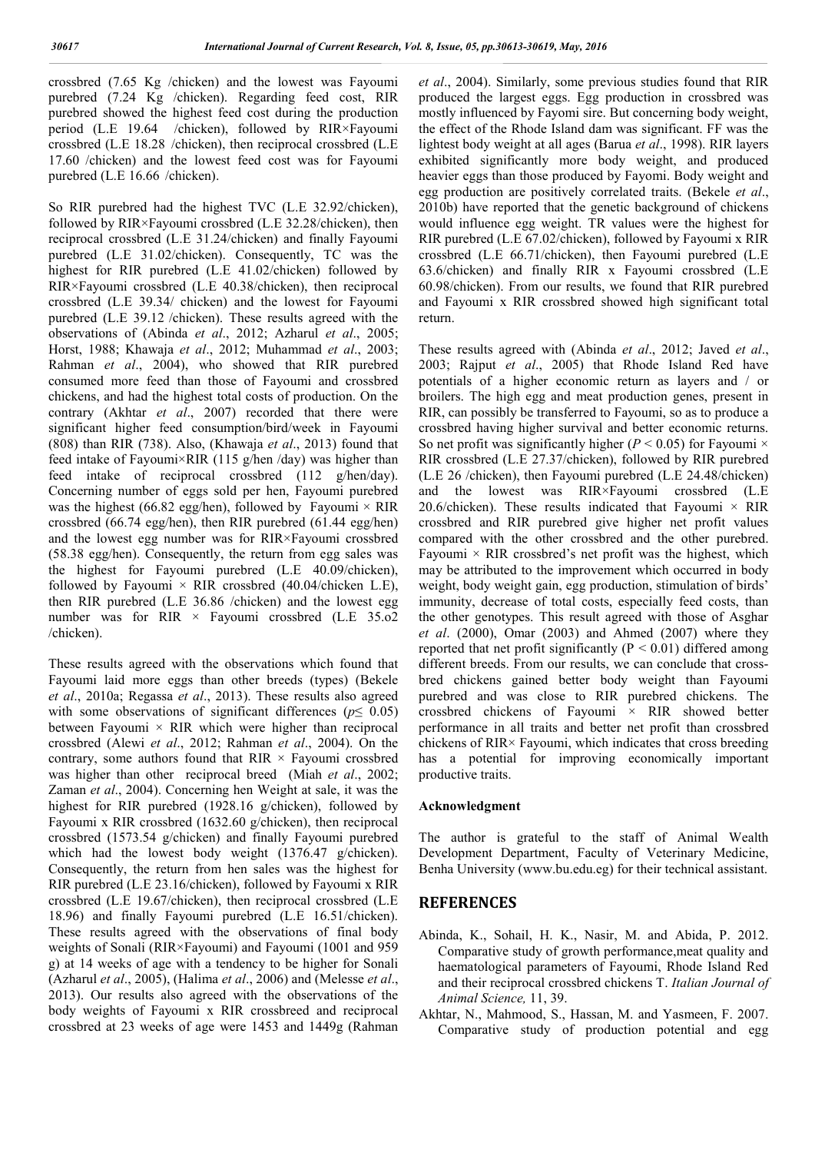crossbred (7.65 Kg /chicken) and the lowest was Fayoumi purebred (7.24 Kg /chicken). Regarding feed cost, RIR purebred showed the highest feed cost during the production period (L.E 19.64 /chicken), followed by RIR×Fayoumi crossbred (L.E 18.28 /chicken), then reciprocal crossbred (L.E 17.60 /chicken) and the lowest feed cost was for Fayoumi purebred (L.E 16.66 /chicken).

So RIR purebred had the highest TVC (L.E 32.92/chicken), followed by RIR×Fayoumi crossbred (L.E 32.28/chicken), then reciprocal crossbred (L.E 31.24/chicken) and finally Fayoumi purebred (L.E 31.02/chicken). Consequently, TC was the highest for RIR purebred (L.E 41.02/chicken) followed by RIR×Fayoumi crossbred (L.E 40.38/chicken), then reciprocal crossbred (L.E 39.34/ chicken) and the lowest for Fayoumi purebred (L.E 39.12 /chicken). These results agreed with the observations of (Abinda *et al*., 2012; Azharul *et al*., 2005; Horst, 1988; Khawaja *et al*., 2012; Muhammad *et al*., 2003; Rahman *et al*., 2004), who showed that RIR purebred consumed more feed than those of Fayoumi and crossbred chickens, and had the highest total costs of production. On the contrary (Akhtar *et al*., 2007) recorded that there were significant higher feed consumption/bird/week in Fayoumi (808) than RIR (738). Also, (Khawaja *et al*., 2013) found that feed intake of Fayoumi×RIR (115 g/hen /day) was higher than feed intake of reciprocal crossbred (112 g/hen/day). Concerning number of eggs sold per hen, Fayoumi purebred was the highest (66.82 egg/hen), followed by Fayoumi  $\times$  RIR crossbred (66.74 egg/hen), then RIR purebred (61.44 egg/hen) and the lowest egg number was for RIR×Fayoumi crossbred (58.38 egg/hen). Consequently, the return from egg sales was the highest for Fayoumi purebred (L.E 40.09/chicken), followed by Fayoumi  $\times$  RIR crossbred (40.04/chicken L.E), then RIR purebred (L.E 36.86 /chicken) and the lowest egg number was for RIR  $\times$  Fayoumi crossbred (L.E 35.o2 /chicken).

These results agreed with the observations which found that Fayoumi laid more eggs than other breeds (types) (Bekele *et al*., 2010a; Regassa *et al*., 2013). These results also agreed with some observations of significant differences (*p*≤ 0.05) between Fayoumi  $\times$  RIR which were higher than reciprocal crossbred (Alewi *et al*., 2012; Rahman *et al*., 2004). On the contrary, some authors found that  $RIR \times Fayouni$  crossbred was higher than other reciprocal breed (Miah *et al*., 2002; Zaman *et al*., 2004). Concerning hen Weight at sale, it was the highest for RIR purebred (1928.16 g/chicken), followed by Fayoumi x RIR crossbred (1632.60 g/chicken), then reciprocal crossbred (1573.54 g/chicken) and finally Fayoumi purebred which had the lowest body weight (1376.47 g/chicken). Consequently, the return from hen sales was the highest for RIR purebred (L.E 23.16/chicken), followed by Fayoumi x RIR crossbred (L.E 19.67/chicken), then reciprocal crossbred (L.E 18.96) and finally Fayoumi purebred (L.E 16.51/chicken). These results agreed with the observations of final body weights of Sonali (RIR×Fayoumi) and Fayoumi (1001 and 959 g) at 14 weeks of age with a tendency to be higher for Sonali (Azharul *et al*., 2005), (Halima *et al*., 2006) and (Melesse *et al*., 2013). Our results also agreed with the observations of the body weights of Fayoumi x RIR crossbreed and reciprocal crossbred at 23 weeks of age were 1453 and 1449g (Rahman

*et al*., 2004). Similarly, some previous studies found that RIR produced the largest eggs. Egg production in crossbred was mostly influenced by Fayomi sire. But concerning body weight, the effect of the Rhode Island dam was significant. FF was the lightest body weight at all ages (Barua *et al*., 1998). RIR layers exhibited significantly more body weight, and produced heavier eggs than those produced by Fayomi. Body weight and egg production are positively correlated traits. (Bekele *et al*., 2010b) have reported that the genetic background of chickens would influence egg weight. TR values were the highest for RIR purebred (L.E 67.02/chicken), followed by Fayoumi x RIR crossbred (L.E 66.71/chicken), then Fayoumi purebred (L.E 63.6/chicken) and finally RIR x Fayoumi crossbred (L.E 60.98/chicken). From our results, we found that RIR purebred and Fayoumi x RIR crossbred showed high significant total return.

These results agreed with (Abinda *et al*., 2012; Javed *et al*., 2003; Rajput *et al*., 2005) that Rhode Island Red have potentials of a higher economic return as layers and / or broilers. The high egg and meat production genes, present in RIR, can possibly be transferred to Fayoumi, so as to produce a crossbred having higher survival and better economic returns. So net profit was significantly higher ( $P < 0.05$ ) for Fayoumi  $\times$ RIR crossbred (L.E 27.37/chicken), followed by RIR purebred (L.E 26 /chicken), then Fayoumi purebred (L.E 24.48/chicken) and the lowest was RIR×Fayoumi crossbred (L.E 20.6/chicken). These results indicated that Fayoumi  $\times$  RIR crossbred and RIR purebred give higher net profit values compared with the other crossbred and the other purebred. Fayoumi  $\times$  RIR crossbred's net profit was the highest, which may be attributed to the improvement which occurred in body weight, body weight gain, egg production, stimulation of birds' immunity, decrease of total costs, especially feed costs, than the other genotypes. This result agreed with those of Asghar *et al*. (2000), Omar (2003) and Ahmed (2007) where they reported that net profit significantly ( $P \le 0.01$ ) differed among different breeds. From our results, we can conclude that crossbred chickens gained better body weight than Fayoumi purebred and was close to RIR purebred chickens. The crossbred chickens of Fayoumi  $\times$  RIR showed better performance in all traits and better net profit than crossbred chickens of RIR× Fayoumi, which indicates that cross breeding has a potential for improving economically important productive traits.

#### **Acknowledgment**

The author is grateful to the staff of Animal Wealth Development Department, Faculty of Veterinary Medicine, Benha University (www.bu.edu.eg) for their technical assistant.

## **REFERENCES**

- Abinda, K., Sohail, H. K., Nasir, M. and Abida, P. 2012. Comparative study of growth performance,meat quality and haematological parameters of Fayoumi, Rhode Island Red and their reciprocal crossbred chickens T. *Italian Journal of Animal Science,* 11, 39.
- Akhtar, N., Mahmood, S., Hassan, M. and Yasmeen, F. 2007. Comparative study of production potential and egg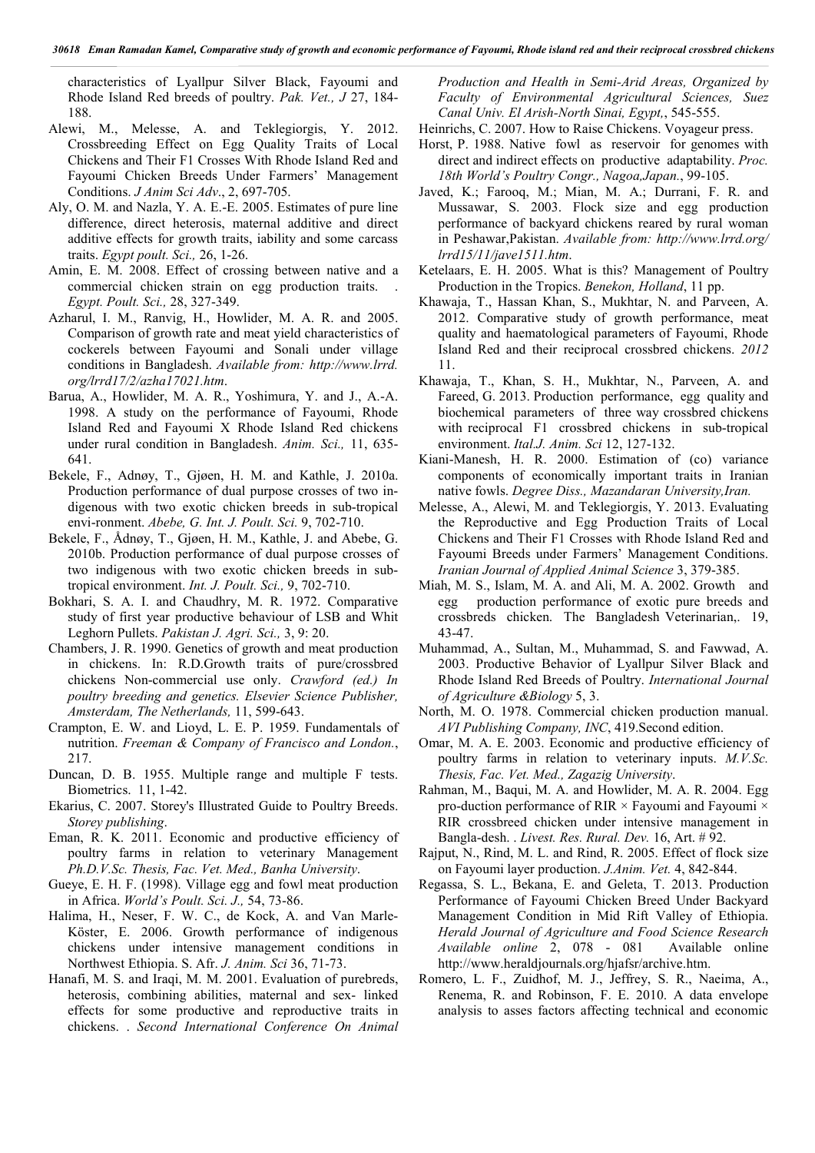characteristics of Lyallpur Silver Black, Fayoumi and Rhode Island Red breeds of poultry. *Pak. Vet., J* 27, 184- 188.

- Alewi, M., Melesse, A. and Teklegiorgis, Y. 2012. Crossbreeding Effect on Egg Quality Traits of Local Chickens and Their F1 Crosses With Rhode Island Red and Fayoumi Chicken Breeds Under Farmers' Management Conditions. *J Anim Sci Adv*., 2, 697-705.
- Aly, O. M. and Nazla, Y. A. E.-E. 2005. Estimates of pure line difference, direct heterosis, maternal additive and direct additive effects for growth traits, iability and some carcass traits. *Egypt poult. Sci.,* 26, 1-26.
- Amin, E. M. 2008. Effect of crossing between native and a commercial chicken strain on egg production traits. . *Egypt. Poult. Sci.,* 28, 327-349.
- Azharul, I. M., Ranvig, H., Howlider, M. A. R. and 2005. Comparison of growth rate and meat yield characteristics of cockerels between Fayoumi and Sonali under village conditions in Bangladesh. *Available from: http://www.lrrd. org/lrrd17/2/azha17021.htm*.
- Barua, A., Howlider, M. A. R., Yoshimura, Y. and J., A.-A. 1998. A study on the performance of Fayoumi, Rhode Island Red and Fayoumi X Rhode Island Red chickens under rural condition in Bangladesh. *Anim. Sci.,* 11, 635- 641.
- Bekele, F., Adnøy, T., Gjøen, H. M. and Kathle, J. 2010a. Production performance of dual purpose crosses of two indigenous with two exotic chicken breeds in sub-tropical envi-ronment. *Abebe, G. Int. J. Poult. Sci.* 9, 702-710.
- Bekele, F., Ådnøy, T., Gjøen, H. M., Kathle, J. and Abebe, G. 2010b. Production performance of dual purpose crosses of two indigenous with two exotic chicken breeds in subtropical environment. *Int. J. Poult. Sci.,* 9, 702-710.
- Bokhari, S. A. I. and Chaudhry, M. R. 1972. Comparative study of first year productive behaviour of LSB and Whit Leghorn Pullets. *Pakistan J. Agri. Sci.,* 3, 9: 20.
- Chambers, J. R. 1990. Genetics of growth and meat production in chickens. In: R.D.Growth traits of pure/crossbred chickens Non-commercial use only. *Crawford (ed.) In poultry breeding and genetics. Elsevier Science Publisher, Amsterdam, The Netherlands,* 11, 599-643.
- Crampton, E. W. and Lioyd, L. E. P. 1959. Fundamentals of nutrition. *Freeman & Company of Francisco and London.*, 217.
- Duncan, D. B. 1955. Multiple range and multiple F tests. Biometrics. 11, 1-42.
- Ekarius, C. 2007. Storey's Illustrated Guide to Poultry Breeds. *Storey publishing*.
- Eman, R. K. 2011. Economic and productive efficiency of poultry farms in relation to veterinary Management *Ph.D.V.Sc. Thesis, Fac. Vet. Med., Banha University*.
- Gueye, E. H. F. (1998). Village egg and fowl meat production in Africa. *World's Poult. Sci. J.,* 54, 73-86.
- Halima, H., Neser, F. W. C., de Kock, A. and Van Marle-Köster, E. 2006. Growth performance of indigenous chickens under intensive management conditions in Northwest Ethiopia. S. Afr. *J. Anim. Sci* 36, 71-73.
- Hanafi, M. S. and Iraqi, M. M. 2001. Evaluation of purebreds, heterosis, combining abilities, maternal and sex- linked effects for some productive and reproductive traits in chickens. . *Second International Conference On Animal*

*Production and Health in Semi-Arid Areas, Organized by Faculty of Environmental Agricultural Sciences, Suez Canal Univ. El Arish-North Sinai, Egypt,*, 545-555.

- Heinrichs, C. 2007. How to Raise Chickens. Voyageur press.
- Horst, P. 1988. Native fowl as reservoir for genomes with direct and indirect effects on productive adaptability. *Proc. 18th World's Poultry Congr., Nagoa,Japan.*, 99-105.
- Javed, K.; Farooq, M.; Mian, M. A.; Durrani, F. R. and Mussawar, S. 2003. Flock size and egg production performance of backyard chickens reared by rural woman in Peshawar,Pakistan. *Available from: http://www.lrrd.org/ lrrd15/11/jave1511.htm*.
- Ketelaars, E. H. 2005. What is this? Management of Poultry Production in the Tropics. *Benekon, Holland*, 11 pp.
- Khawaja, T., Hassan Khan, S., Mukhtar, N. and Parveen, A. 2012. Comparative study of growth performance, meat quality and haematological parameters of Fayoumi, Rhode Island Red and their reciprocal crossbred chickens. *2012* 11.
- Khawaja, T., Khan, S. H., Mukhtar, N., Parveen, A. and Fareed, G. 2013. Production performance, egg quality and biochemical parameters of three way crossbred chickens with reciprocal F1 crossbred chickens in sub-tropical environment. *Ital.J. Anim. Sci* 12, 127-132.
- Kiani-Manesh, H. R. 2000. Estimation of (co) variance components of economically important traits in Iranian native fowls. *Degree Diss., Mazandaran University,Iran.*
- Melesse, A., Alewi, M. and Teklegiorgis, Y. 2013. Evaluating the Reproductive and Egg Production Traits of Local Chickens and Their F1 Crosses with Rhode Island Red and Fayoumi Breeds under Farmers' Management Conditions. *Iranian Journal of Applied Animal Science* 3, 379-385.
- Miah, M. S., Islam, M. A. and Ali, M. A. 2002. Growth and egg production performance of exotic pure breeds and crossbreds chicken. The Bangladesh Veterinarian,. 19, 43-47.
- Muhammad, A., Sultan, M., Muhammad, S. and Fawwad, A. 2003. Productive Behavior of Lyallpur Silver Black and Rhode Island Red Breeds of Poultry. *International Journal of Agriculture &Biology* 5, 3.
- North, M. O. 1978. Commercial chicken production manual. *AVI Publishing Company, INC*, 419.Second edition.
- Omar, M. A. E. 2003. Economic and productive efficiency of poultry farms in relation to veterinary inputs. *M.V.Sc. Thesis, Fac. Vet. Med., Zagazig University*.
- Rahman, M., Baqui, M. A. and Howlider, M. A. R. 2004. Egg pro-duction performance of RIR  $\times$  Fayoumi and Fayoumi  $\times$ RIR crossbreed chicken under intensive management in Bangla-desh. . *Livest. Res. Rural. Dev.* 16, Art. # 92.
- Rajput, N., Rind, M. L. and Rind, R. 2005. Effect of flock size on Fayoumi layer production. *J.Anim. Vet.* 4, 842-844.
- Regassa, S. L., Bekana, E. and Geleta, T. 2013. Production Performance of Fayoumi Chicken Breed Under Backyard Management Condition in Mid Rift Valley of Ethiopia. *Herald Journal of Agriculture and Food Science Research Available online* 2, 078 - 081 Available online http://www.heraldjournals.org/hjafsr/archive.htm.
- Romero, L. F., Zuidhof, M. J., Jeffrey, S. R., Naeima, A., Renema, R. and Robinson, F. E. 2010. A data envelope analysis to asses factors affecting technical and economic